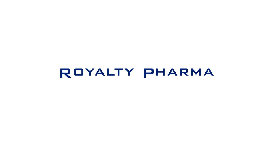# ROYALTY PHARMA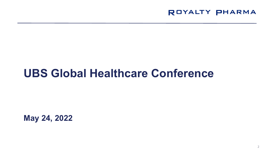

# **UBS Global Healthcare Conference**

**May 24, 2022**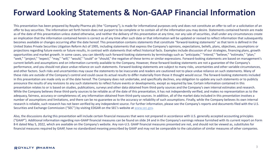### **Forward Looking Statements & Non-GAAP Financial Information**

This presentation has been prepared by Royalty Pharma plc (the "Company"), is made for informational purposes only and does not constitute an offer to sell or a solicitation of an offer to buy securities. The information set forth herein does not purport to be complete or to contain all of the information you may desire. Statements contained herein are made as of the date of this presentation unless stated otherwise, and neither the delivery of this presentation at any time, nor any sale of securities, shall under any circumstances create an implication that the information contained herein is correct as of any time after such date or that information will be updated or revised to reflect information that subsequently becomes available or changes occurring after the date hereof. This presentation contains statements that constitute "forward-looking statements" as that term is defined in the United States Private Securities Litigation Reform Act of 1995, including statements that express the Company's opinions, expectations, beliefs, plans, objectives, assumptions or projections regarding future events or future results, in contrast with statements that reflect historical facts. Examples include discussion of our strategies, financing plans, growth opportunities and market growth. In some cases, you can identify such forward-looking statements by terminology such as "anticipate," "intend," "believe," "estimate," "plan," "seek," "project," "expect," "may," "will," "would," "could" or "should," the negative of these terms or similar expressions. Forward-looking statements are based on management's current beliefs and assumptions and on information currently available to the Company. However, these forward-looking statements are not a guarantee of the Company's performance, and you should not place undue reliance on such statements. Forward-looking statements are subject to many risks, uncertainties and other variable circumstances, and other factors. Such risks and uncertainties may cause the statements to be inaccurate and readers are cautioned not to place undue reliance on such statements. Many of these risks are outside of the Company's control and could cause its actual results to differ materially from those it thought would occur. The forward-looking statements included in this presentation are made only as of the date hereof. The Company does not undertake, and specifically declines, any obligation to update any such statements or to publicly announce the results of any revisions to any such statements to reflect future events or developments, except as required by law. Certain information contained in this presentation relates to or is based on studies, publications, surveys and other data obtained from third-party sources and the Company's own internal estimates and research. While the Company believes these third-party sources to be reliable as of the date of this presentation, it has not independently verified, and makes no representation as to the adequacy, fairness, accuracy or completeness of, any information obtained from third-party sources. In addition, all of the market data included in this presentation involves a number of assumptions and limitations, and there can be no guarantee as to the accuracy or reliability of such assumptions. Finally, while the Company believes its own internal research is reliable, such research has not been verified by any independent source. For further information, please see the Company's reports and documents filed with the U.S. Securities and Exchange Commission ("SEC") by visiting EDGAR on the SEC's website at [www.sec.gov.](http://www.sec.gov/)

Also, the discussions during this presentation will include certain financial measures that were not prepared in accordance with U.S. generally accepted accounting principles ("GAAP"). Additional information regarding non-GAAP financial measures can be found on slide 24 and in the Company's earnings release furnished with its current report on Form 8-K dated May 5, 2022, which are available on the Company's website. Any non-U.S. GAAP financial measures presented are not, and should not be viewed as, substitutes for financial measures required by GAAP, have no standardized meaning prescribed by GAAP and may not be comparable to the calculation of similar measures of other companies.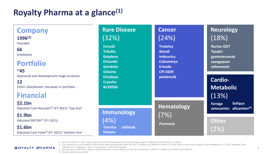# **Royalty Pharma at a glance(1)**

**1996(2)**

Founded

**66**

Employees

### **Portfolio**

**~45** Approved and development-stage products **12**

\$1bn+ blockbuster therapies in portfolio

### **Financial**

**\$2.1bn** Adjusted Cash Receipts<sup>(3)</sup> (FY 2021) "top-line"

**\$1.9bn** Adjusted EBITDA<sup>(3)</sup> (FY 2021)

**\$1.6bn** Adjusted Cash Flow<sup>(3)</sup> (FY 2021) "bottom-line"

| <b>Rare Disease</b>                                                                                                                                                                  | <b>Cancer</b>                                                                              | <b>Neurology</b>                                                                          |
|--------------------------------------------------------------------------------------------------------------------------------------------------------------------------------------|--------------------------------------------------------------------------------------------|-------------------------------------------------------------------------------------------|
| (32%)                                                                                                                                                                                | (24%)                                                                                      | (18%)                                                                                     |
| <b>Evrysdi</b><br><b>Trikafta</b><br><b>Kalydeco</b><br><b>Orkambi</b><br><b>Symdeko</b><br><b>Oxlumo</b><br><b>CPI-0209</b><br><b>Orladeyo</b><br><b>Crysvita</b><br><b>BCX9930</b> | <b>Trodelvy</b><br><b>Xtandi</b><br><b>Imbruvica</b><br><b>Cabometyx</b><br><b>Erleada</b> | <b>Nurtec ODT</b><br><b>Tysabri</b><br>gantenerumab<br>zavegepant<br>seltorexant          |
|                                                                                                                                                                                      | pelabresib                                                                                 | Cardio-<br><b>Metabolic</b><br>(13%)                                                      |
| <b>Immunology</b><br>(4%<br>otilimab<br><b>Tremfya</b><br><b>Entvvio</b>                                                                                                             | <b>Hematology</b><br>(7%)<br><b>Promacta</b>                                               | <b>Soliqua</b><br><b>Farxiga</b><br>aficamten <sup>(4)</sup><br>omecamtiv<br><b>Other</b> |

1. As of December 31, 2021, unless otherwise indicated; therapeutic area percentages based on Adjusted Cash Receipts in FY 2021.

2. Our predecessor was founded in 1996 and we were incorporated under the laws of England and Wales on February 6, 2020. We are externally managed by RP Management, LLC (the "Manager") and references to "employees" refer to such persons' role at the Manager.

#### ROYALTY PHARMA

3. See slide 24 for definitions. Refer to Royalty Pharma's Current Report on Form 8-K dated May 5, 2022 for a GAAP to non-GAAP reconciliation.

4. Royalty added January 2022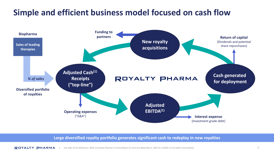## **Simple and efficient business model focused on cash flow**



**Large diversified royalty portfolio generates significant cash to redeploy in new royalties**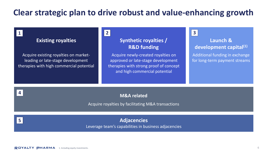### **Clear strategic plan to drive robust and value-enhancing growth**

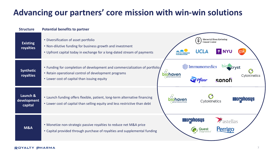# **Advancing our partners' core mission with win-win solutions**



#### ROYALTY PHARMA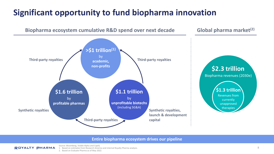### **Significant opportunity to fund biopharma innovation**



### **Entire biopharma ecosystem drives our pipeline**

#### ROYALTY PHARMA

Source: Bloomberg, Visible Alpha and CapIQ<br>1. Based on estimates from Research America and internal Royalty Pharma analysis.

2. Based on Evaluate Pharma as of May 2022.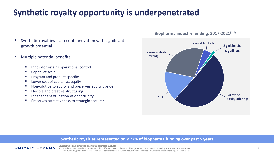# **Synthetic royalty opportunity is underpenetrated**

- Synthetic royalties  $-$  a recent innovation with significant growth potential
- Multiple potential benefits
	- Innovator retains operational control
	- Capital at scale
	- Program and product specific
	- Lower cost of capital vs. equity
	- Non-dilutive to equity and preserves equity upside
	- Flexible and creative structuring
	- Independent validation of opportunity
	- **Preserves attractiveness to strategic acquirer**

### **Biopharma industry funding, 2017-2021(1,2)**



### **Synthetic royalties represented only ~2% of biopharma funding over past 5 years**

ROYALTY PHARMA

Source: Dealogic, Biomedtracker, internal estimates, Evaluate.

1. Includes capital raised through initial public offerings (IPOs), follow-on offerings, equity linked issuances and upfronts from licensing deals.

2. Royalty funding includes upfront investment consideration, including acquisitions of synthetic royalties and associated equity investments.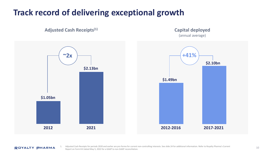### **Track record of delivering exceptional growth**



1. Adjusted Cash Receipts for periods 2020 and earlier are pro forma for current non-controlling interests. See slide 24 for additional information. Refer to Royalty Pharma's Current Report on Form 8-K dated May 5, 2022 for a GAAP to non-GAAP reconciliation.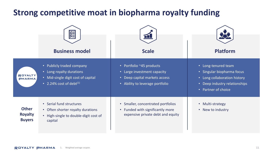### **Strong competitive moat in biopharma royalty funding**

|                                                 | <b>Business model</b>                                                                                                     | <b>Scale</b>                                                                                                                           | <b>Platform</b>                                                                                                                           |
|-------------------------------------------------|---------------------------------------------------------------------------------------------------------------------------|----------------------------------------------------------------------------------------------------------------------------------------|-------------------------------------------------------------------------------------------------------------------------------------------|
| <b>ROYALTY</b><br><b>PHARMA</b>                 | • Publicly traded company<br>• Long royalty durations<br>• Mid-single digit cost of capital<br>• 2.24% cost of debt $(1)$ | • Portfolio ~45 products<br>• Large investment capacity<br>Deep capital markets access<br>$\bullet$<br>. Ability to leverage portfolio | • Long-tenured team<br>• Singular biopharma focus<br>• Long collaboration history<br>• Deep industry relationships<br>• Partner of choice |
| <b>Other</b><br><b>Royalty</b><br><b>Buyers</b> | • Serial fund structures<br>• Often shorter royalty durations<br>• High-single to double-digit cost of<br>capital         | Smaller, concentrated portfolios<br>$\bullet$<br>• Funded with significantly more<br>expensive private debt and equity                 | • Multi-strategy<br>• New to industry                                                                                                     |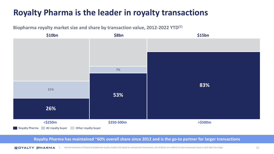## **Royalty Pharma is the leader in royalty transactions**



**Biopharma royalty market size and share by transaction value, 2012-2022 YTD(1)**

#### **Royalty Pharma has maintained ~60% overall share since 2012 and is the go-to partner for larger transactions**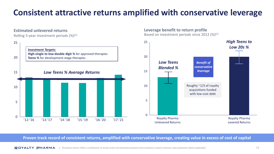## **Consistent attractive returns amplified with conservative leverage**

#### **Estimated unlevered returns**

Rolling 5-year investment periods  $(\%)^{(1)}$ 



### **Leverage benefit to return profile**

Based on investment periods since 2012  $(\%)^{(1)}$ 



**Proven track record of consistent returns, amplified with conservative leverage, creating value in excess of cost of capital**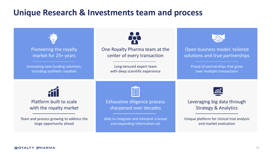### **Unique Research & Investments team and process**

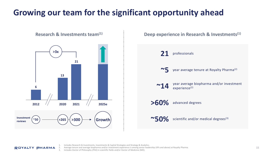### **Growing our team for the significant opportunity ahead**



**Deep experience in Research & Investments(1)**



#### ROYALTY PHARMA

1. Includes Research & Investments, Investments & Capital Strategies and Strategy & Analytics.

2. Average tenure and average biopharma and/or investment experience is among senior leadership (VPs and above) at Royalty Pharma.

3. Includes Doctor of Philosophy (PhD) in scientific fields and/or Doctor of Medicine (MD).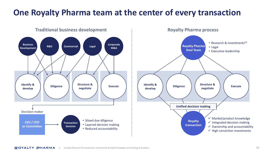### **One Royalty Pharma team at the center of every transaction**

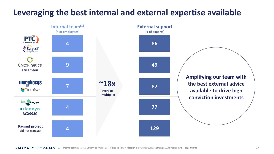### **Leveraging the best internal and external expertise available**

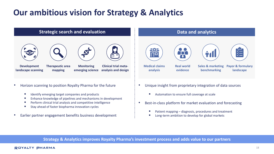## **Our ambitious vision for Strategy & Analytics**



- Horizon scanning to position Royalty Pharma for the future
	- Identify emerging target companies and products
	- **Enhance knowledge of pipelines and mechanisms in development**
	- **Perform clinical trial analysis and competitive intelligence**
	- Stay ahead of faster biopharma innovation cycles
- Earlier partner engagement benefits business development



- Unique insight from proprietary integration of data sources
	- **Automation to ensure full coverage at scale**
- Best-in-class platform for market evaluation and forecasting
	- Patient mapping diagnosis, procedures and treatment
	- **Long-term ambition to develop for global markets**

**Strategy & Analytics improves Royalty Pharma's investment process and adds value to our partners**

#### ROYALTY PHARMA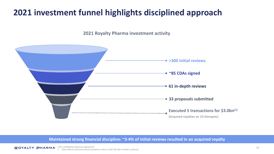## **2021 investment funnel highlights disciplined approach**

**2021 Royalty Pharma investment activity**



### **Maintained strong financial discipline: ~3-4% of initial reviews resulted in an acquired royalty**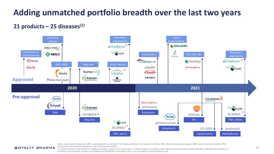### **Adding unmatched portfolio breadth over the last two years**

### **21 products – 25 diseases(1)**



AML: acute myeloid leukemia; MDS: myelodysplastic syndromes; PsO: plaque psoriasis; PsA; psoriatic arthritis; IBD: inflammatory bowel disease; SMA: spinal muscular atrophy; PNH: paroxysmal nocturnal hemoglobinuria; RA: rheumatoid arthritis

#### ROYALTY PHARMA

1. Includes January 2022 aficamten royalty acquisition, which is not shown here. 2. Other products included in cystic fibrosis deal not shown include Symdeko, Orkambi and Kalydeco. 3. Purchase of incremental royalties on Orladeyo and BCX9930 in November 2021 is not included in product/disease total.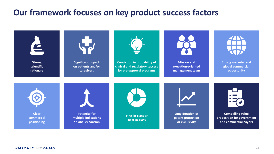### **Our framework focuses on key product success factors**

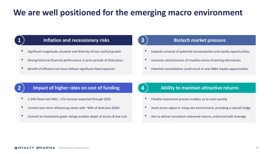## **We are well positioned for the emerging macro environment**

### **1**  $\left($  **B** and recessionary risks and  $\left($  3  $\right)$  **Biotech market pressure**

- Significant magnitude, duration and diversity of non-cyclical growth
- Strong historical financial performance in prior periods of dislocation
- Benefit of efficient cost base without significant fixed expenses

- Expands universe of potential counterparties and royalty opportunities
- Increases attractiveness of royalties versus financing alternatives
- Potential consolidation could result in new M&A royalty opportunities

### **2** ) Impact of higher rates on cost of funding  $\qquad \qquad$  **4** ) Ability to maintain attractive returns

- 2.24% fixed-rate WAC; <1% increase expected through 2025
- Limited near-term refinancing needs with ~60% of debt due 2030+
- Commit to investment grade ratings enables depth of access & low cost

- Flexible investment process enables us to react quickly
- Asset prices adjust in rising rate environment, providing a natural hedge
- Aim to deliver consistent unlevered returns, enhanced with leverage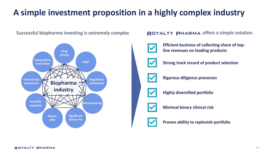# **A simple investment proposition in a highly complex industry**

### **Successful biopharma investing is extremely complex**



### **ROYALTY PHARMA offers a simple solution**



**Efficient business of collecting share of topline revenues on leading products**



**Strong track record of product selection**



**Rigorous diligence processes**



**Highly diversified portfolio**



**Minimal binary clinical risk**



**Proven ability to replenish portfolio**